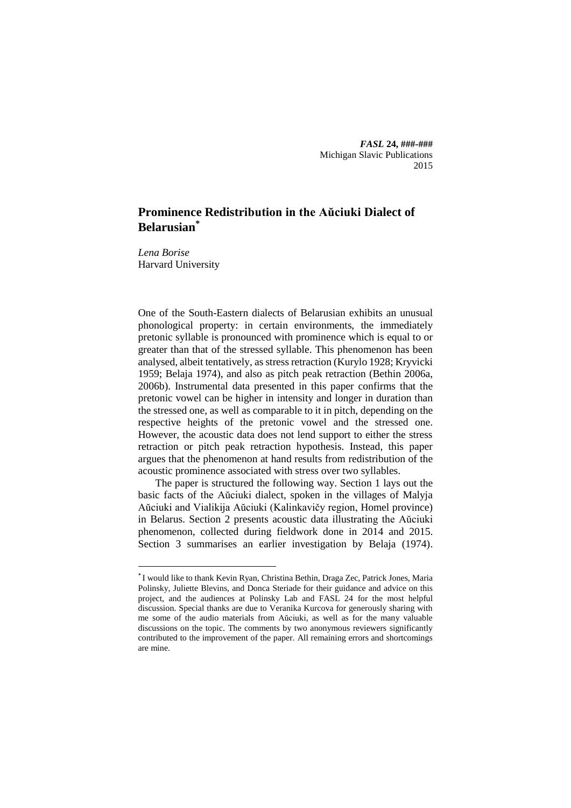*FASL* **24, ###-###** Michigan Slavic Publications 2015

# **Prominence Redistribution in the Aŭciuki Dialect of Belarusian\***

*Lena Borise* Harvard University

**.** 

One of the South-Eastern dialects of Belarusian exhibits an unusual phonological property: in certain environments, the immediately pretonic syllable is pronounced with prominence which is equal to or greater than that of the stressed syllable. This phenomenon has been analysed, albeit tentatively, as stress retraction (Kurylo 1928; Kryvicki 1959; Belaja 1974), and also as pitch peak retraction (Bethin 2006a, 2006b). Instrumental data presented in this paper confirms that the pretonic vowel can be higher in intensity and longer in duration than the stressed one, as well as comparable to it in pitch, depending on the respective heights of the pretonic vowel and the stressed one. However, the acoustic data does not lend support to either the stress retraction or pitch peak retraction hypothesis. Instead, this paper argues that the phenomenon at hand results from redistribution of the acoustic prominence associated with stress over two syllables.

The paper is structured the following way. Section 1 lays out the basic facts of the Aŭciuki dialect, spoken in the villages of Malyja Aŭciuki and Vialikija Aŭciuki (Kalinkavičy region, Homel province) in Belarus. Section 2 presents acoustic data illustrating the Aŭciuki phenomenon, collected during fieldwork done in 2014 and 2015. Section 3 summarises an earlier investigation by Belaja (1974).

<sup>\*</sup> I would like to thank Kevin Ryan, Christina Bethin, Draga Zec, Patrick Jones, Maria Polinsky, Juliette Blevins, and Donca Steriade for their guidance and advice on this project, and the audiences at Polinsky Lab and FASL 24 for the most helpful discussion. Special thanks are due to Veranika Kurcova for generously sharing with me some of the audio materials from Aŭciuki, as well as for the many valuable discussions on the topic. The comments by two anonymous reviewers significantly contributed to the improvement of the paper. All remaining errors and shortcomings are mine.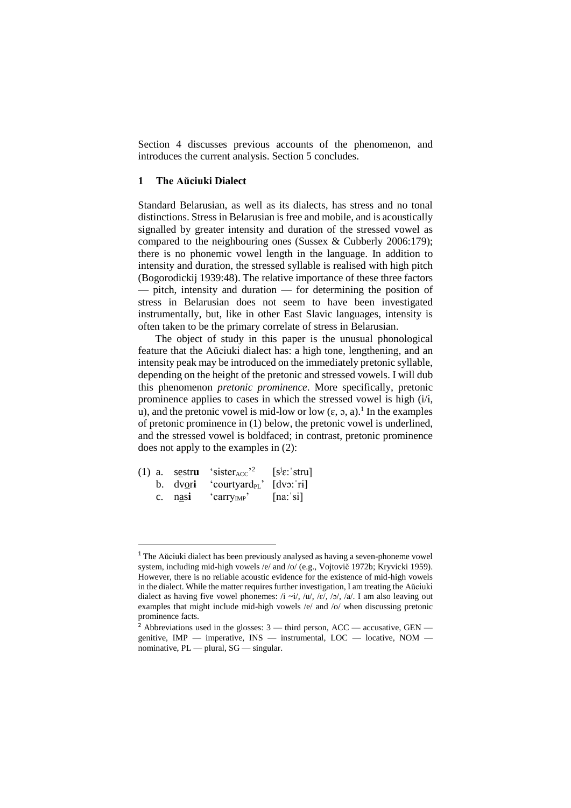Section 4 discusses previous accounts of the phenomenon, and introduces the current analysis. Section 5 concludes.

### **1 The Aŭciuki Dialect**

Standard Belarusian, as well as its dialects, has stress and no tonal distinctions. Stress in Belarusian is free and mobile, and is acoustically signalled by greater intensity and duration of the stressed vowel as compared to the neighbouring ones (Sussex & Cubberly 2006:179); there is no phonemic vowel length in the language. In addition to intensity and duration, the stressed syllable is realised with high pitch (Bogorodickij 1939:48). The relative importance of these three factors — pitch, intensity and duration — for determining the position of stress in Belarusian does not seem to have been investigated instrumentally, but, like in other East Slavic languages, intensity is often taken to be the primary correlate of stress in Belarusian.

The object of study in this paper is the unusual phonological feature that the Aŭciuki dialect has: a high tone, lengthening, and an intensity peak may be introduced on the immediately pretonic syllable, depending on the height of the pretonic and stressed vowels. I will dub this phenomenon *pretonic prominence*. More specifically, pretonic prominence applies to cases in which the stressed vowel is high (i/ɨ, u), and the pretonic vowel is mid-low or low  $(\epsilon, \rho, a)$ .<sup>1</sup> In the examples of pretonic prominence in (1) below, the pretonic vowel is underlined, and the stressed vowel is boldfaced; in contrast, pretonic prominence does not apply to the examples in (2):

|         | (1) a. sestru 'sister <sub>ACC</sub> <sup>2</sup> | $[s^j \varepsilon : stru]$ |
|---------|---------------------------------------------------|----------------------------|
|         | b. $dv$ ori 'courtyard <sub>PL</sub> ' [dvo: ri]  |                            |
| c. nasi | $'$ carry <sub>IMP</sub> '                        | [na: s]                    |

1

<sup>1</sup> The Aŭciuki dialect has been previously analysed as having a seven-phoneme vowel system, including mid-high vowels /e/ and /o/ (e.g., Vojtovič 1972b; Kryvicki 1959). However, there is no reliable acoustic evidence for the existence of mid-high vowels in the dialect. While the matter requires further investigation, I am treating the Aŭciuki dialect as having five vowel phonemes: /i ~i/, /u/, /ɛ/, /ɔ/, /a/. I am also leaving out examples that might include mid-high vowels /e/ and /o/ when discussing pretonic prominence facts.

<sup>&</sup>lt;sup>2</sup> Abbreviations used in the glosses:  $3$  — third person, ACC — accusative, GEN genitive,  $IMP$  — imperative,  $INS$  — instrumental,  $LOC$  — locative,  $NOM$  nominative, PL — plural, SG — singular.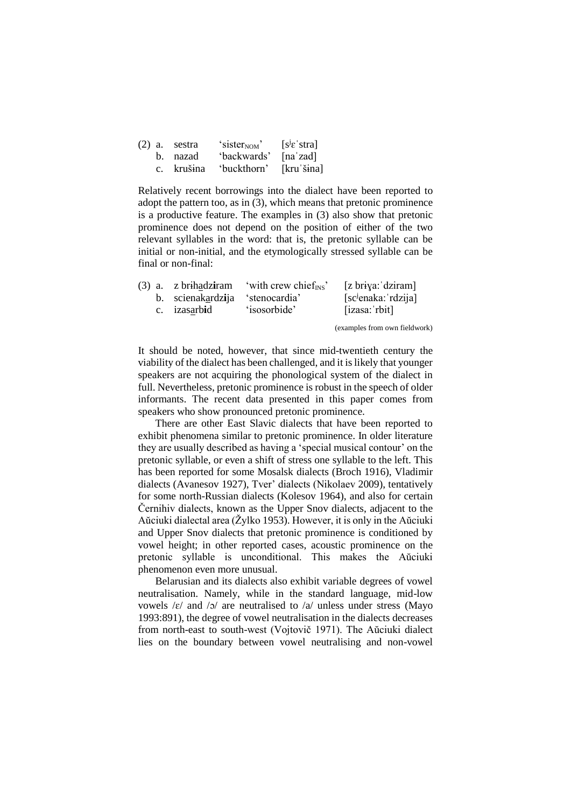|  | $(2)$ a. sestra | 'sister <sub>NOM</sub> ' | $[s^{j} \varepsilon]$ stra] |
|--|-----------------|--------------------------|-----------------------------|
|  | b. nazad        | 'backwards'              | [naˈzad]                    |
|  | c. krušina      | 'buckthorn'              | $[kru'\sina]$               |

Relatively recent borrowings into the dialect have been reported to adopt the pattern too, as in (3), which means that pretonic prominence is a productive feature. The examples in (3) also show that pretonic prominence does not depend on the position of either of the two relevant syllables in the word: that is, the pretonic syllable can be initial or non-initial, and the etymologically stressed syllable can be final or non-final:

|  |                                 | (3) a. z brihadziram 'with crew chief <sub>INS</sub> ' | [z briya: dziram]               |
|--|---------------------------------|--------------------------------------------------------|---------------------------------|
|  | b. scienakardzija 'stenocardia' |                                                        | [sc <sup>j</sup> enaka: rdzija] |
|  | c. izasarbid                    | 'isosorbide'                                           | [izasa: rbit]                   |

(examples from own fieldwork)

It should be noted, however, that since mid-twentieth century the viability of the dialect has been challenged, and it is likely that younger speakers are not acquiring the phonological system of the dialect in full. Nevertheless, pretonic prominence is robust in the speech of older informants. The recent data presented in this paper comes from speakers who show pronounced pretonic prominence.

There are other East Slavic dialects that have been reported to exhibit phenomena similar to pretonic prominence. In older literature they are usually described as having a 'special musical contour' on the pretonic syllable, or even a shift of stress one syllable to the left. This has been reported for some Mosalsk dialects (Broch 1916), Vladimir dialects (Avanesov 1927), Tver' dialects (Nikolaev 2009), tentatively for some north-Russian dialects (Kolesov 1964), and also for certain Černihiv dialects, known as the Upper Snov dialects, adjacent to the Aŭciuki dialectal area (Žylko 1953). However, it is only in the Aŭciuki and Upper Snov dialects that pretonic prominence is conditioned by vowel height; in other reported cases, acoustic prominence on the pretonic syllable is unconditional. This makes the Aŭciuki phenomenon even more unusual.

Belarusian and its dialects also exhibit variable degrees of vowel neutralisation. Namely, while in the standard language, mid-low vowels  $\mathcal{E}/\mathcal{E}/\mathcal{E}$  and  $\mathcal{E}/\mathcal{E}$  are neutralised to  $\mathcal{E}/\mathcal{E}/\mathcal{E}$  unless under stress (Mayo 1993:891), the degree of vowel neutralisation in the dialects decreases from north-east to south-west (Vojtovič 1971). The Aŭciuki dialect lies on the boundary between vowel neutralising and non-vowel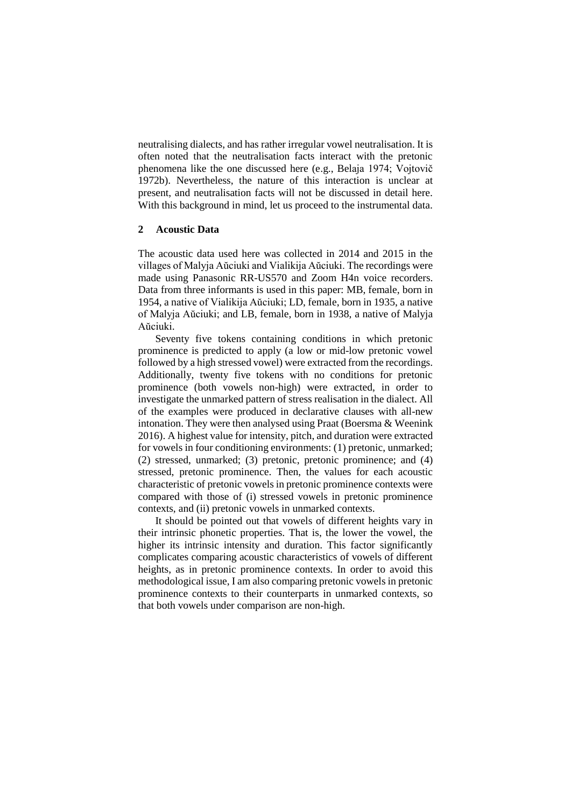neutralising dialects, and has rather irregular vowel neutralisation. It is often noted that the neutralisation facts interact with the pretonic phenomena like the one discussed here (e.g., Belaja 1974; Vojtovič 1972b). Nevertheless, the nature of this interaction is unclear at present, and neutralisation facts will not be discussed in detail here. With this background in mind, let us proceed to the instrumental data.

# **2 Acoustic Data**

The acoustic data used here was collected in 2014 and 2015 in the villages of Malyja Aŭciuki and Vialikija Aŭciuki. The recordings were made using Panasonic RR-US570 and Zoom H4n voice recorders. Data from three informants is used in this paper: MB, female, born in 1954, a native of Vialikija Aŭciuki; LD, female, born in 1935, a native of Malyja Aŭciuki; and LB, female, born in 1938, a native of Malyja Aŭciuki.

Seventy five tokens containing conditions in which pretonic prominence is predicted to apply (a low or mid-low pretonic vowel followed by a high stressed vowel) were extracted from the recordings. Additionally, twenty five tokens with no conditions for pretonic prominence (both vowels non-high) were extracted, in order to investigate the unmarked pattern of stress realisation in the dialect. All of the examples were produced in declarative clauses with all-new intonation. They were then analysed using Praat (Boersma & Weenink 2016). A highest value for intensity, pitch, and duration were extracted for vowels in four conditioning environments: (1) pretonic, unmarked; (2) stressed, unmarked; (3) pretonic, pretonic prominence; and (4) stressed, pretonic prominence. Then, the values for each acoustic characteristic of pretonic vowels in pretonic prominence contexts were compared with those of (i) stressed vowels in pretonic prominence contexts, and (ii) pretonic vowels in unmarked contexts.

It should be pointed out that vowels of different heights vary in their intrinsic phonetic properties. That is, the lower the vowel, the higher its intrinsic intensity and duration. This factor significantly complicates comparing acoustic characteristics of vowels of different heights, as in pretonic prominence contexts. In order to avoid this methodological issue, I am also comparing pretonic vowels in pretonic prominence contexts to their counterparts in unmarked contexts, so that both vowels under comparison are non-high.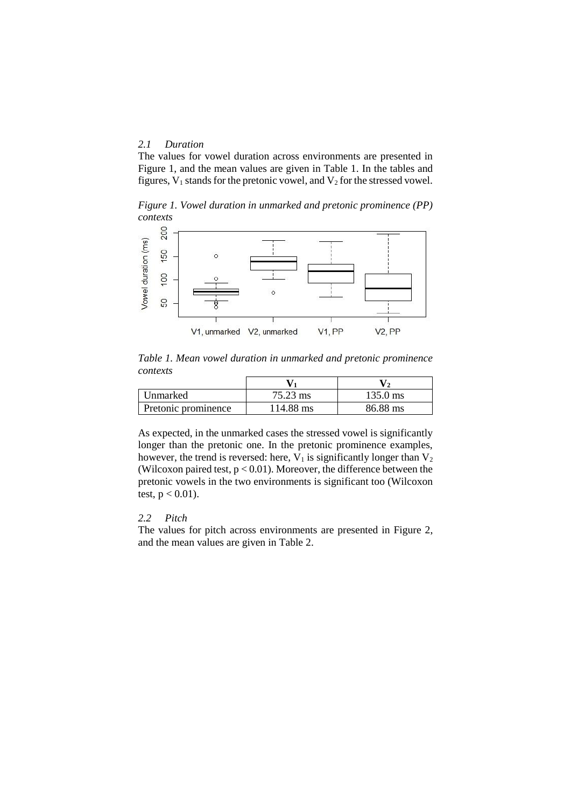# *2.1 Duration*

The values for vowel duration across environments are presented in Figure 1, and the mean values are given in Table 1. In the tables and figures,  $V_1$  stands for the pretonic vowel, and  $V_2$  for the stressed vowel.

*Figure 1. Vowel duration in unmarked and pretonic prominence (PP) contexts*



*Table 1. Mean vowel duration in unmarked and pretonic prominence contexts*

| Unmarked            | 75.23 ms  | 135.0 ms |
|---------------------|-----------|----------|
| Pretonic prominence | 114.88 ms | 86.88 ms |

As expected, in the unmarked cases the stressed vowel is significantly longer than the pretonic one. In the pretonic prominence examples, however, the trend is reversed: here,  $V_1$  is significantly longer than  $V_2$ (Wilcoxon paired test,  $p < 0.01$ ). Moreover, the difference between the pretonic vowels in the two environments is significant too (Wilcoxon test,  $p < 0.01$ ).

# *2.2 Pitch*

The values for pitch across environments are presented in Figure 2, and the mean values are given in Table 2.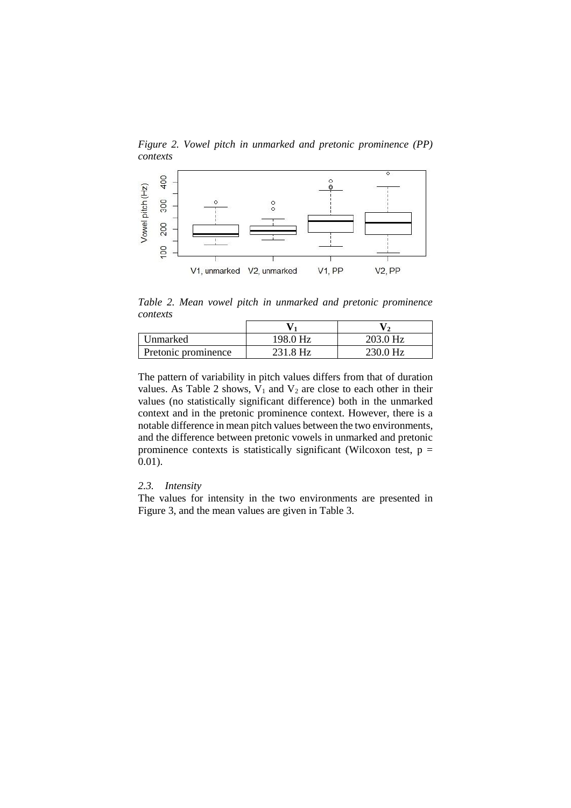*Figure 2. Vowel pitch in unmarked and pretonic prominence (PP) contexts*



*Table 2. Mean vowel pitch in unmarked and pretonic prominence contexts*

| Unmarked            | 198.0 Hz | 203.0 Hz |
|---------------------|----------|----------|
| Pretonic prominence | 231.8 Hz | 230.0 Hz |

The pattern of variability in pitch values differs from that of duration values. As Table 2 shows,  $V_1$  and  $V_2$  are close to each other in their values (no statistically significant difference) both in the unmarked context and in the pretonic prominence context. However, there is a notable difference in mean pitch values between the two environments, and the difference between pretonic vowels in unmarked and pretonic prominence contexts is statistically significant (Wilcoxon test,  $p =$ 0.01).

# *2.3. Intensity*

The values for intensity in the two environments are presented in Figure 3, and the mean values are given in Table 3.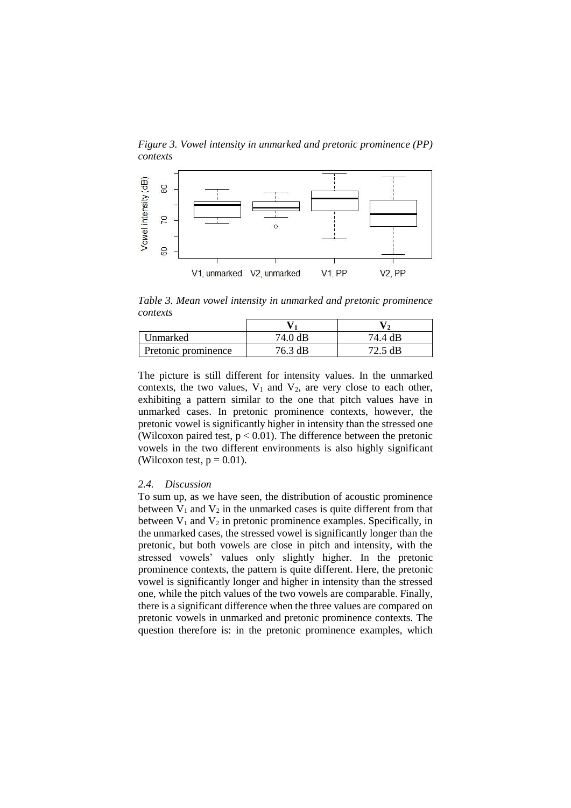*Figure 3. Vowel intensity in unmarked and pretonic prominence (PP) contexts*



*Table 3. Mean vowel intensity in unmarked and pretonic prominence contexts*

| Unmarked            | 74.0 dB | 74.4 dB |
|---------------------|---------|---------|
| Pretonic prominence | 76.3 dB | 72.5 dB |

The picture is still different for intensity values. In the unmarked contexts, the two values,  $V_1$  and  $V_2$ , are very close to each other, exhibiting a pattern similar to the one that pitch values have in unmarked cases. In pretonic prominence contexts, however, the pretonic vowel is significantly higher in intensity than the stressed one (Wilcoxon paired test,  $p < 0.01$ ). The difference between the pretonic vowels in the two different environments is also highly significant (Wilcoxon test,  $p = 0.01$ ).

## *2.4. Discussion*

To sum up, as we have seen, the distribution of acoustic prominence between  $V_1$  and  $V_2$  in the unmarked cases is quite different from that between  $V_1$  and  $V_2$  in pretonic prominence examples. Specifically, in the unmarked cases, the stressed vowel is significantly longer than the pretonic, but both vowels are close in pitch and intensity, with the stressed vowels' values only slightly higher. In the pretonic prominence contexts, the pattern is quite different. Here, the pretonic vowel is significantly longer and higher in intensity than the stressed one, while the pitch values of the two vowels are comparable. Finally, there is a significant difference when the three values are compared on pretonic vowels in unmarked and pretonic prominence contexts. The question therefore is: in the pretonic prominence examples, which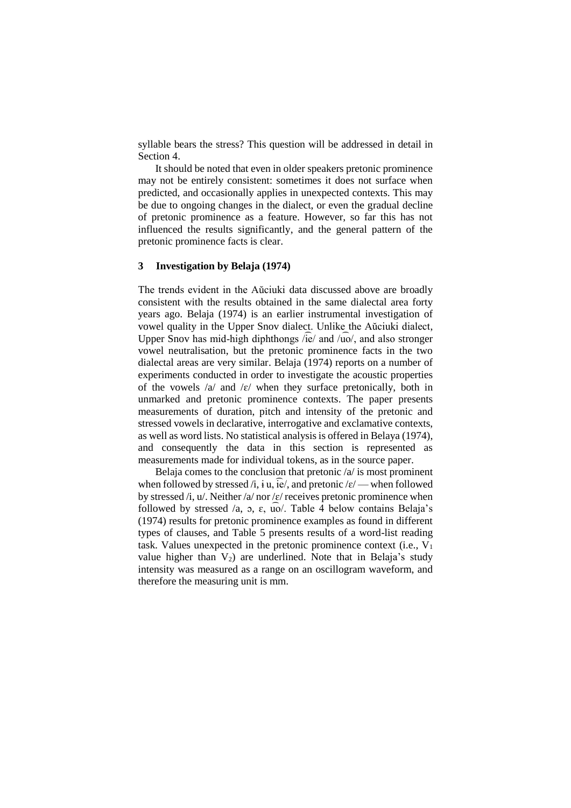syllable bears the stress? This question will be addressed in detail in Section 4.

It should be noted that even in older speakers pretonic prominence may not be entirely consistent: sometimes it does not surface when predicted, and occasionally applies in unexpected contexts. This may be due to ongoing changes in the dialect, or even the gradual decline of pretonic prominence as a feature. However, so far this has not influenced the results significantly, and the general pattern of the pretonic prominence facts is clear.

#### **3 Investigation by Belaja (1974)**

The trends evident in the Aŭciuki data discussed above are broadly consistent with the results obtained in the same dialectal area forty years ago. Belaja (1974) is an earlier instrumental investigation of vowel quality in the Upper Snov dialect. Unlike the Aŭciuki dialect, Upper Snov has mid-high diphthongs /ie/ and /uo/, and also stronger vowel neutralisation, but the pretonic prominence facts in the two dialectal areas are very similar. Belaja (1974) reports on a number of experiments conducted in order to investigate the acoustic properties of the vowels  $\alpha$  and  $\epsilon$  when they surface pretonically, both in unmarked and pretonic prominence contexts. The paper presents measurements of duration, pitch and intensity of the pretonic and stressed vowels in declarative, interrogative and exclamative contexts, as well as word lists. No statistical analysis is offered in Belaya (1974), and consequently the data in this section is represented as measurements made for individual tokens, as in the source paper.

Belaja comes to the conclusion that pretonic /a/ is most prominent when followed by stressed /i, i.u.,  $\overline{ie}$ /, and pretonic / $\varepsilon$ / — when followed by stressed /i,  $u$ /. Neither /a/ nor / $\varepsilon$ / receives pretonic prominence when followed by stressed  $\alpha$ ,  $\alpha$ ,  $\epsilon$ ,  $\alpha$ ,  $\alpha$ . Table 4 below contains Belaja's (1974) results for pretonic prominence examples as found in different types of clauses, and Table 5 presents results of a word-list reading task. Values unexpected in the pretonic prominence context (i.e.,  $V_1$ ) value higher than  $V_2$ ) are underlined. Note that in Belaja's study intensity was measured as a range on an oscillogram waveform, and therefore the measuring unit is mm.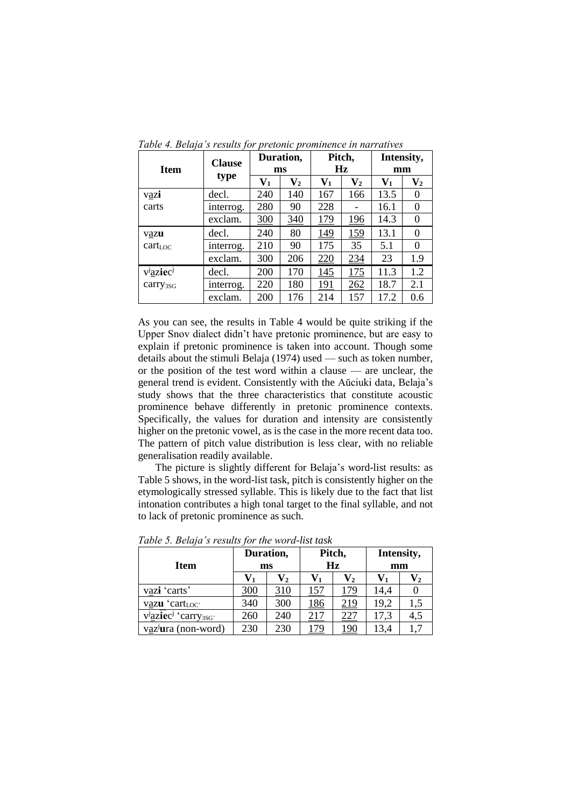| <b>Item</b>              | <b>Clause</b> | Duration,<br>ms |                           | Pitch,<br>Hz   |                           | Intensity,<br>mm |                  |
|--------------------------|---------------|-----------------|---------------------------|----------------|---------------------------|------------------|------------------|
|                          | type          | $\mathbf{V}_1$  | $\mathbf{V}_{\mathbf{2}}$ | $\mathbf{V}_1$ | $\mathbf{V}_{\mathbf{2}}$ | $\mathbf{V}_1$   | $\mathbf{V_{2}}$ |
| vazi                     | decl.         | 240             | 140                       | 167            | 166                       | 13.5             | 0                |
| carts                    | interrog.     | 280             | 90                        | 228            |                           | 16.1             | $\theta$         |
|                          | exclam.       | 300             | 340                       | 179            | 196                       | 14.3             | $\Omega$         |
| vazu                     | decl.         | 240             | 80                        | 149            | 159                       | 13.1             | 0                |
| cart <sub>LOC</sub>      | interrog.     | 210             | 90                        | 175            | 35                        | 5.1              | 0                |
|                          | exclam.       | 300             | 206                       | 220            | 234                       | 23               | 1.9              |
| $v^j$ aziec <sup>j</sup> | decl.         | <b>200</b>      | 170                       | 145            | 175                       | 11.3             | 1.2              |
| carry <sub>3SG</sub>     | interrog.     | 220             | 180                       | 191            | 262                       | 18.7             | 2.1              |
|                          | exclam.       | 200             | 176                       | 214            | 157                       | 17.2             | 0.6              |

*Table 4. Belaja's results for pretonic prominence in narratives*

As you can see, the results in Table 4 would be quite striking if the Upper Snov dialect didn't have pretonic prominence, but are easy to explain if pretonic prominence is taken into account. Though some details about the stimuli Belaja (1974) used — such as token number, or the position of the test word within a clause — are unclear, the general trend is evident. Consistently with the Aŭciuki data, Belaja's study shows that the three characteristics that constitute acoustic prominence behave differently in pretonic prominence contexts. Specifically, the values for duration and intensity are consistently higher on the pretonic vowel, as is the case in the more recent data too. The pattern of pitch value distribution is less clear, with no reliable generalisation readily available.

The picture is slightly different for Belaja's word-list results: as Table 5 shows, in the word-list task, pitch is consistently higher on the etymologically stressed syllable. This is likely due to the fact that list intonation contributes a high tonal target to the final syllable, and not to lack of pretonic prominence as such.

| <b>Item</b>                                | Duration,<br>ms |                | Pitch,<br>Hz |     | Intensity,<br>mm |     |
|--------------------------------------------|-----------------|----------------|--------------|-----|------------------|-----|
|                                            | V1              | $\mathbf{V}_2$ |              | V2  | $V_1$            |     |
| vazi 'carts'                               | 300             | 310            | 157          | 179 | 14,4             |     |
| vazu 'cartLoc'                             | 340             | 300            | <u>186</u>   | 219 | 19,2             | 1,5 |
| vaziec <sup>j</sup> 'carry <sub>3SG'</sub> | 260             | 240            | 217          | 227 | 17,3             | 4,5 |
| vaz <sup>j</sup> ura (non-word)            | 230             | 230            | 79           | 190 | 13,4             | 1,7 |

*Table 5. Belaja's results for the word-list task*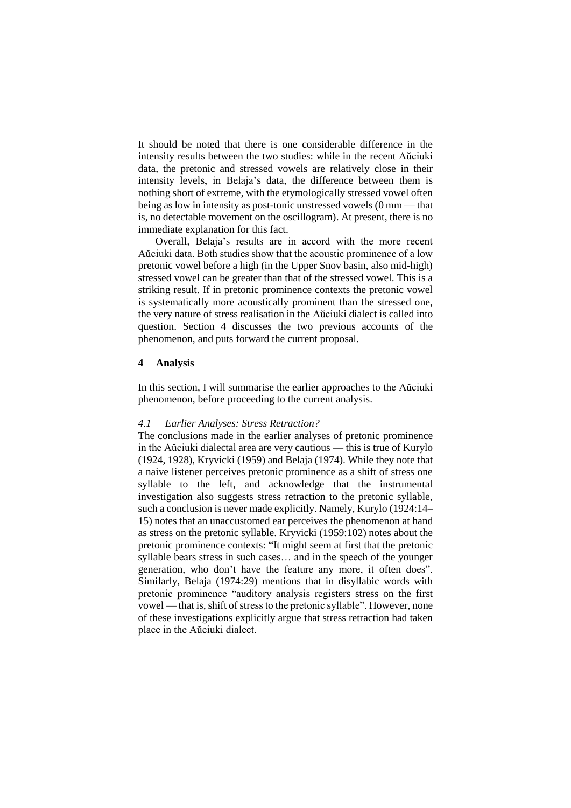It should be noted that there is one considerable difference in the intensity results between the two studies: while in the recent Aŭciuki data, the pretonic and stressed vowels are relatively close in their intensity levels, in Belaja's data, the difference between them is nothing short of extreme, with the etymologically stressed vowel often being as low in intensity as post-tonic unstressed vowels (0 mm — that is, no detectable movement on the oscillogram). At present, there is no immediate explanation for this fact.

Overall, Belaja's results are in accord with the more recent Aŭciuki data. Both studies show that the acoustic prominence of a low pretonic vowel before a high (in the Upper Snov basin, also mid-high) stressed vowel can be greater than that of the stressed vowel. This is a striking result. If in pretonic prominence contexts the pretonic vowel is systematically more acoustically prominent than the stressed one, the very nature of stress realisation in the Aŭciuki dialect is called into question. Section 4 discusses the two previous accounts of the phenomenon, and puts forward the current proposal.

# **4 Analysis**

In this section, I will summarise the earlier approaches to the Aŭciuki phenomenon, before proceeding to the current analysis.

## *4.1 Earlier Analyses: Stress Retraction?*

The conclusions made in the earlier analyses of pretonic prominence in the Aŭciuki dialectal area are very cautious — this is true of Kurylo (1924, 1928), Kryvicki (1959) and Belaja (1974). While they note that a naive listener perceives pretonic prominence as a shift of stress one syllable to the left, and acknowledge that the instrumental investigation also suggests stress retraction to the pretonic syllable, such a conclusion is never made explicitly. Namely, Kurylo (1924:14– 15) notes that an unaccustomed ear perceives the phenomenon at hand as stress on the pretonic syllable. Kryvicki (1959:102) notes about the pretonic prominence contexts: "It might seem at first that the pretonic syllable bears stress in such cases… and in the speech of the younger generation, who don't have the feature any more, it often does". Similarly, Belaja (1974:29) mentions that in disyllabic words with pretonic prominence "auditory analysis registers stress on the first vowel — that is, shift of stress to the pretonic syllable". However, none of these investigations explicitly argue that stress retraction had taken place in the Aŭciuki dialect.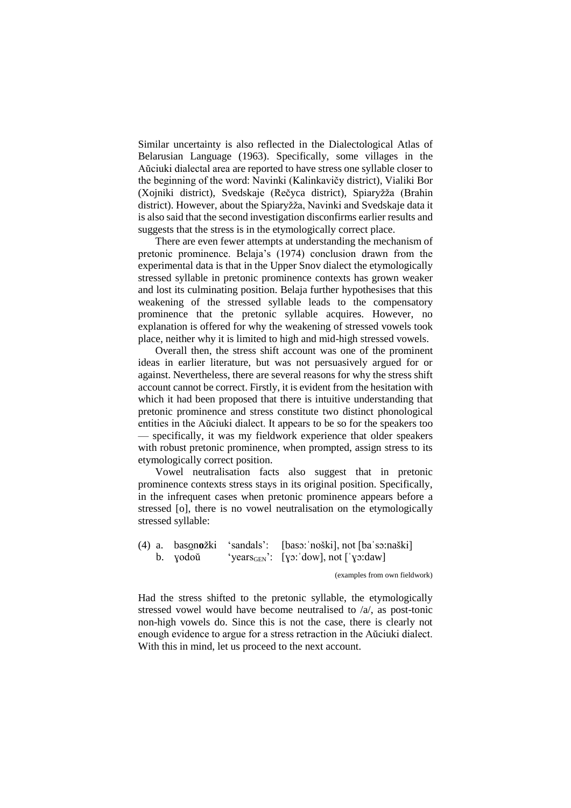Similar uncertainty is also reflected in the Dialectological Atlas of Belarusian Language (1963). Specifically, some villages in the Aŭciuki dialectal area are reported to have stress one syllable closer to the beginning of the word: Navinki (Kalinkavičy district), Vialiki Bor (Xojniki district), Svedskaje (Rečyca district), Spiaryžža (Brahin district). However, about the Spiaryžža, Navinki and Svedskaje data it is also said that the second investigation disconfirms earlier results and suggests that the stress is in the etymologically correct place.

There are even fewer attempts at understanding the mechanism of pretonic prominence. Belaja's (1974) conclusion drawn from the experimental data is that in the Upper Snov dialect the etymologically stressed syllable in pretonic prominence contexts has grown weaker and lost its culminating position. Belaja further hypothesises that this weakening of the stressed syllable leads to the compensatory prominence that the pretonic syllable acquires. However, no explanation is offered for why the weakening of stressed vowels took place, neither why it is limited to high and mid-high stressed vowels.

Overall then, the stress shift account was one of the prominent ideas in earlier literature, but was not persuasively argued for or against. Nevertheless, there are several reasons for why the stress shift account cannot be correct. Firstly, it is evident from the hesitation with which it had been proposed that there is intuitive understanding that pretonic prominence and stress constitute two distinct phonological entities in the Aŭciuki dialect. It appears to be so for the speakers too — specifically, it was my fieldwork experience that older speakers with robust pretonic prominence, when prompted, assign stress to its etymologically correct position.

Vowel neutralisation facts also suggest that in pretonic prominence contexts stress stays in its original position. Specifically, in the infrequent cases when pretonic prominence appears before a stressed [o], there is no vowel neutralisation on the etymologically stressed syllable:

(4) a. bason**o**žki 'sandals': [basɔ:ˈnoški], not [baˈsɔ:naški] b.  $yodo\check{u}$  'years<sub>GEN</sub>': [yɔ:'dow], not ['yɔ:daw]

(examples from own fieldwork)

Had the stress shifted to the pretonic syllable, the etymologically stressed vowel would have become neutralised to /a/, as post-tonic non-high vowels do. Since this is not the case, there is clearly not enough evidence to argue for a stress retraction in the Aŭciuki dialect. With this in mind, let us proceed to the next account.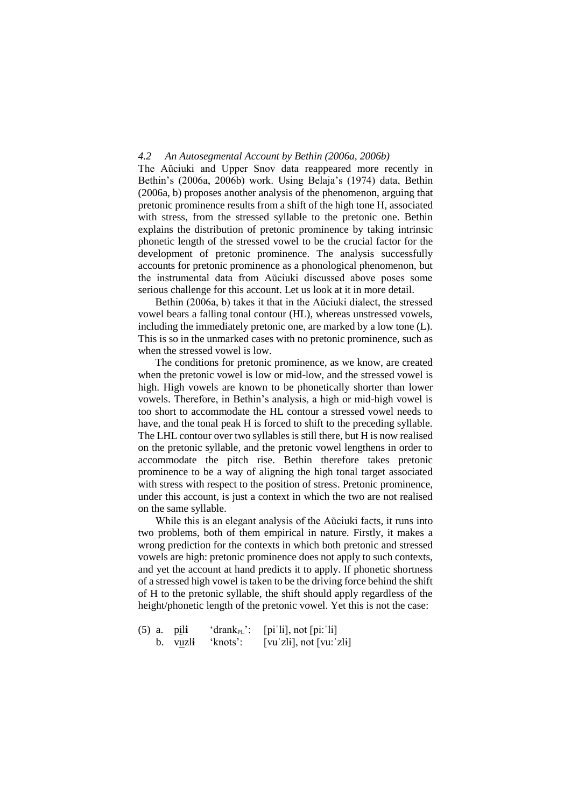## *4.2 An Autosegmental Account by Bethin (2006a, 2006b)*

The Aŭciuki and Upper Snov data reappeared more recently in Bethin's (2006a, 2006b) work. Using Belaja's (1974) data, Bethin (2006a, b) proposes another analysis of the phenomenon, arguing that pretonic prominence results from a shift of the high tone H, associated with stress, from the stressed syllable to the pretonic one. Bethin explains the distribution of pretonic prominence by taking intrinsic phonetic length of the stressed vowel to be the crucial factor for the development of pretonic prominence. The analysis successfully accounts for pretonic prominence as a phonological phenomenon, but the instrumental data from Aŭciuki discussed above poses some serious challenge for this account. Let us look at it in more detail.

Bethin (2006a, b) takes it that in the Aŭciuki dialect, the stressed vowel bears a falling tonal contour (HL), whereas unstressed vowels, including the immediately pretonic one, are marked by a low tone (L). This is so in the unmarked cases with no pretonic prominence, such as when the stressed vowel is low.

The conditions for pretonic prominence, as we know, are created when the pretonic vowel is low or mid-low, and the stressed vowel is high. High vowels are known to be phonetically shorter than lower vowels. Therefore, in Bethin's analysis, a high or mid-high vowel is too short to accommodate the HL contour a stressed vowel needs to have, and the tonal peak H is forced to shift to the preceding syllable. The LHL contour over two syllables is still there, but H is now realised on the pretonic syllable, and the pretonic vowel lengthens in order to accommodate the pitch rise. Bethin therefore takes pretonic prominence to be a way of aligning the high tonal target associated with stress with respect to the position of stress. Pretonic prominence, under this account, is just a context in which the two are not realised on the same syllable.

While this is an elegant analysis of the Aŭciuki facts, it runs into two problems, both of them empirical in nature. Firstly, it makes a wrong prediction for the contexts in which both pretonic and stressed vowels are high: pretonic prominence does not apply to such contexts, and yet the account at hand predicts it to apply. If phonetic shortness of a stressed high vowel is taken to be the driving force behind the shift of H to the pretonic syllable, the shift should apply regardless of the height/phonetic length of the pretonic vowel. Yet this is not the case:

|  | $(5)$ a. $pi$ | 'drank <sub>PL</sub> ': | $[pi'li]$ , not $[pi:li]$   |
|--|---------------|-------------------------|-----------------------------|
|  |               | b. vuzli 'knots':       | $[vu'zli]$ , not $[vu:zli]$ |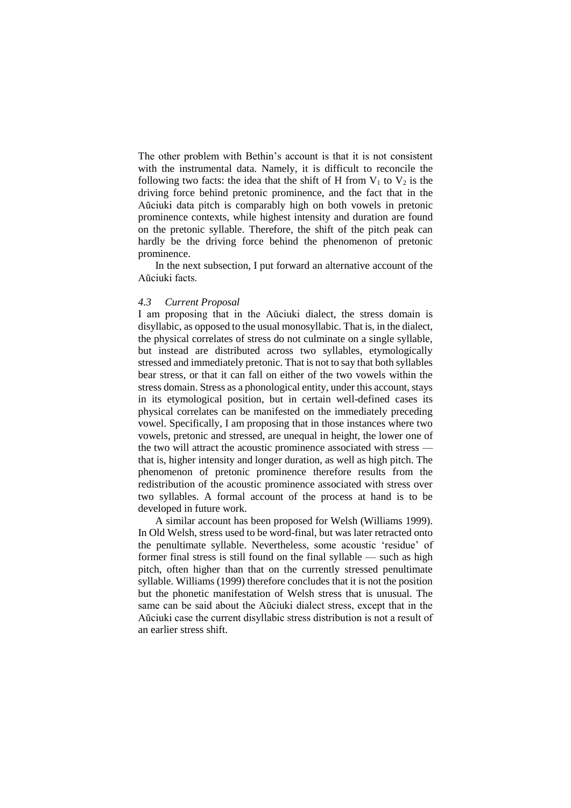The other problem with Bethin's account is that it is not consistent with the instrumental data. Namely, it is difficult to reconcile the following two facts: the idea that the shift of H from  $V_1$  to  $V_2$  is the driving force behind pretonic prominence, and the fact that in the Aŭciuki data pitch is comparably high on both vowels in pretonic prominence contexts, while highest intensity and duration are found on the pretonic syllable. Therefore, the shift of the pitch peak can hardly be the driving force behind the phenomenon of pretonic prominence.

In the next subsection, I put forward an alternative account of the Aŭciuki facts.

# *4.3 Current Proposal*

I am proposing that in the Aŭciuki dialect, the stress domain is disyllabic, as opposed to the usual monosyllabic. That is, in the dialect, the physical correlates of stress do not culminate on a single syllable, but instead are distributed across two syllables, etymologically stressed and immediately pretonic. That is not to say that both syllables bear stress, or that it can fall on either of the two vowels within the stress domain. Stress as a phonological entity, under this account, stays in its etymological position, but in certain well-defined cases its physical correlates can be manifested on the immediately preceding vowel. Specifically, I am proposing that in those instances where two vowels, pretonic and stressed, are unequal in height, the lower one of the two will attract the acoustic prominence associated with stress that is, higher intensity and longer duration, as well as high pitch. The phenomenon of pretonic prominence therefore results from the redistribution of the acoustic prominence associated with stress over two syllables. A formal account of the process at hand is to be developed in future work.

A similar account has been proposed for Welsh (Williams 1999). In Old Welsh, stress used to be word-final, but was later retracted onto the penultimate syllable. Nevertheless, some acoustic 'residue' of former final stress is still found on the final syllable — such as high pitch, often higher than that on the currently stressed penultimate syllable. Williams (1999) therefore concludes that it is not the position but the phonetic manifestation of Welsh stress that is unusual. The same can be said about the Aŭciuki dialect stress, except that in the Aŭciuki case the current disyllabic stress distribution is not a result of an earlier stress shift.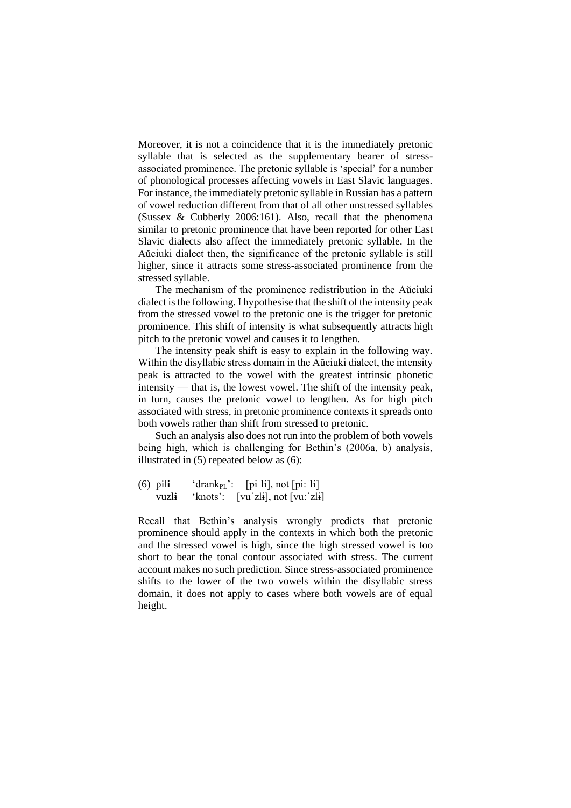Moreover, it is not a coincidence that it is the immediately pretonic syllable that is selected as the supplementary bearer of stressassociated prominence. The pretonic syllable is 'special' for a number of phonological processes affecting vowels in East Slavic languages. For instance, the immediately pretonic syllable in Russian has a pattern of vowel reduction different from that of all other unstressed syllables (Sussex & Cubberly 2006:161). Also, recall that the phenomena similar to pretonic prominence that have been reported for other East Slavic dialects also affect the immediately pretonic syllable. In the Aŭciuki dialect then, the significance of the pretonic syllable is still higher, since it attracts some stress-associated prominence from the stressed syllable.

The mechanism of the prominence redistribution in the Aŭciuki dialect is the following. I hypothesise that the shift of the intensity peak from the stressed vowel to the pretonic one is the trigger for pretonic prominence. This shift of intensity is what subsequently attracts high pitch to the pretonic vowel and causes it to lengthen.

The intensity peak shift is easy to explain in the following way. Within the disyllabic stress domain in the Aŭciuki dialect, the intensity peak is attracted to the vowel with the greatest intrinsic phonetic intensity — that is, the lowest vowel. The shift of the intensity peak, in turn, causes the pretonic vowel to lengthen. As for high pitch associated with stress, in pretonic prominence contexts it spreads onto both vowels rather than shift from stressed to pretonic.

Such an analysis also does not run into the problem of both vowels being high, which is challenging for Bethin's (2006a, b) analysis, illustrated in (5) repeated below as (6):

(6)  $pi$ l**i** 'drank<sub>PL</sub>': [pi'li], not [pi:'li] vuzl**ɨ** 'knots': [vuˈzlɨ], not [vu:ˈzlɨ]

Recall that Bethin's analysis wrongly predicts that pretonic prominence should apply in the contexts in which both the pretonic and the stressed vowel is high, since the high stressed vowel is too short to bear the tonal contour associated with stress. The current account makes no such prediction. Since stress-associated prominence shifts to the lower of the two vowels within the disyllabic stress domain, it does not apply to cases where both vowels are of equal height.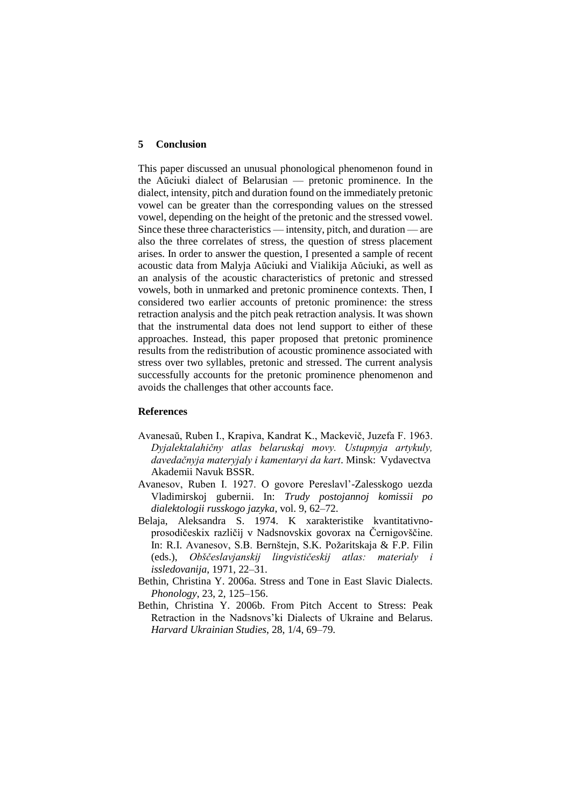# **5 Conclusion**

This paper discussed an unusual phonological phenomenon found in the Aŭciuki dialect of Belarusian — pretonic prominence. In the dialect, intensity, pitch and duration found on the immediately pretonic vowel can be greater than the corresponding values on the stressed vowel, depending on the height of the pretonic and the stressed vowel. Since these three characteristics — intensity, pitch, and duration — are also the three correlates of stress, the question of stress placement arises. In order to answer the question, I presented a sample of recent acoustic data from Malyja Aŭciuki and Vialikija Aŭciuki, as well as an analysis of the acoustic characteristics of pretonic and stressed vowels, both in unmarked and pretonic prominence contexts. Then, I considered two earlier accounts of pretonic prominence: the stress retraction analysis and the pitch peak retraction analysis. It was shown that the instrumental data does not lend support to either of these approaches. Instead, this paper proposed that pretonic prominence results from the redistribution of acoustic prominence associated with stress over two syllables, pretonic and stressed. The current analysis successfully accounts for the pretonic prominence phenomenon and avoids the challenges that other accounts face.

#### **References**

- Avanesaŭ, Ruben I., Krapiva, Kandrat K., Mackevič, Juzefa F. 1963. *Dyjalektalahičny atlas belaruskaj movy. Ustupnyja artykuly, davedačnyja materyjaly i kamentaryi da kart*. Minsk: Vydavectva Akademii Navuk BSSR.
- Avanesov, Ruben I. 1927. O govore Pereslavl'-Zalesskogo uezda Vladimirskoj gubernii. In: *Trudy postojannoj komissii po dialektologii russkogo jazyka*, vol. 9, 62–72.
- Belaja, Aleksandra S. 1974. K xarakteristike kvantitativnoprosodičeskix različij v Nadsnovskix govorax na Černigovščine. In: R.I. Avanesov, S.B. Bernštejn, S.K. Požaritskaja & F.P. Filin (eds.), *Obščeslavjanskij lingvističeskij atlas: materialy i issledovanija*, 1971, 22–31.
- Bethin, Christina Y. 2006a. Stress and Tone in East Slavic Dialects. *Phonology*, 23, 2, 125–156.
- Bethin, Christina Y. 2006b. From Pitch Accent to Stress: Peak Retraction in the Nadsnovs'ki Dialects of Ukraine and Belarus. *Harvard Ukrainian Studies*, 28, 1/4, 69–79.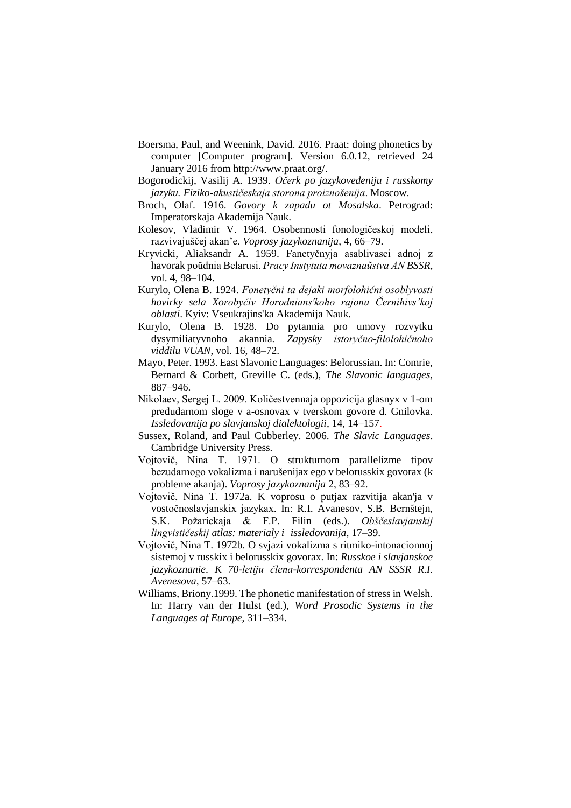- Boersma, Paul, and Weenink, David. 2016. Praat: doing phonetics by computer [Computer program]. Version 6.0.12, retrieved 24 January 2016 from http://www.praat.org/.
- Bogorodickij, Vasilij A. 1939. *Očerk po jazykovedeniju i russkomy jazyku. Fiziko-akustičeskaja storona proiznošenija*. Moscow.
- Broch, Olaf. 1916. *Govory k zapadu ot Mosalska*. Petrograd: Imperatorskaja Akademija Nauk.
- Kolesov, Vladimir V. 1964. Osobennosti fonologičeskoj modeli, razvivajuščej akan'e. *Voprosy jazykoznanija*, 4, 66–79.
- Kryvicki, Aliaksandr A. 1959. Fanetyčnyja asablivasci adnoj z havorak poŭdnia Belarusi. *Pracy Instytuta movaznaŭstva AN BSSR*, vol. 4, 98–104.
- Kurylo, Olena B. 1924. *Fonetyčni ta dejaki morfolohični osoblyvosti hovirky sela Xorobyčiv Horodnians'koho rajonu Černihivs'koj oblasti*. Kyiv: Vseukrajins'ka Akademija Nauk.
- Kurylo, Olena B. 1928. Do pytannia pro umovy rozvytku dysymiliatyvnoho akannia. *Zapysky istoryčno-filolohičnoho viddilu VUAN*, vol. 16, 48–72.
- Mayo, Peter. 1993. East Slavonic Languages: Belorussian. In: Comrie, Bernard & Corbett, Greville C. (eds.), *The Slavonic languages,*  887–946.
- Nikolaev, Sergej L. 2009. Količestvennaja oppozicija glasnyx v 1-om predudarnom sloge v a-osnovax v tverskom govore d. Gnilovka. *Issledovanija po slavjanskoj dialektologii*, 14, 14–157.
- Sussex, Roland, and Paul Cubberley. 2006. *The Slavic Languages*. Cambridge University Press.
- Vojtovič, Nina T. 1971. O strukturnom parallelizme tipov bezudarnogo vokalizma i narušenijax ego v belorusskix govorax (k probleme akanja). *Voprosy jazykoznanija* 2, 83–92.
- Vojtovič, Nina T. 1972a. K voprosu o putjax razvitija akan'ja v vostočnoslavjanskix jazykax. In: R.I. Avanesov, S.B. Bernštejn, S.K. Požarickaja & F.P. Filin (eds.). *Obščeslavjanskij lingvističeskij atlas: materialy i issledovanija*, 17–39.
- Vojtovič, Nina T. 1972b. O svjazi vokalizma s ritmiko-intonacionnoj sistemoj v russkix i belorusskix govorax. In: *Russkoe i slavjanskoe jazykoznanie*. *K 70-letiju člena-korrespondenta AN SSSR R.I. Avenesova*, 57–63.
- Williams, Briony.1999. The phonetic manifestation of stress in Welsh. In: Harry van der Hulst (ed.), *Word Prosodic Systems in the Languages of Europe*, 311–334.